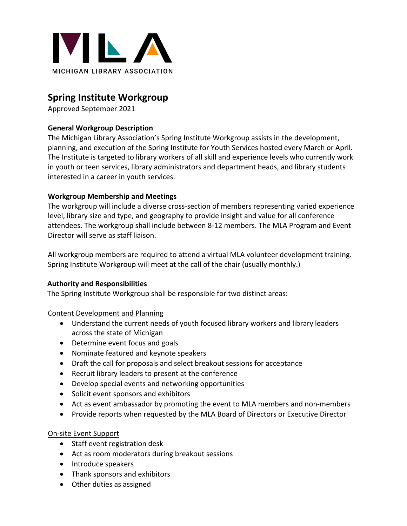

# **Spring Institute Workgroup**

Approved September 2021

# **General Workgroup Description**

The Michigan Library Association's Spring Institute Workgroup assists in the development, planning, and execution of the Spring Institute for Youth Services hosted every March or April. The Institute is targeted to library workers of all skill and experience levels who currently work in youth or teen services, library administrators and department heads, and library students interested in a career in youth services.

# **Workgroup Membership and Meetings**

The workgroup will include a diverse cross-section of members representing varied experience level, library size and type, and geography to provide insight and value for all conference attendees. The workgroup shall include between 8-12 members. The MLA Program and Event Director will serve as staff liaison.

All workgroup members are required to attend a virtual MLA volunteer development training. Spring Institute Workgroup will meet at the call of the chair (usually monthly.)

## **Authority and Responsibilities**

The Spring Institute Workgroup shall be responsible for two distinct areas:

Content Development and Planning

- Understand the current needs of youth focused library workers and library leaders across the state of Michigan
- Determine event focus and goals
- Nominate featured and keynote speakers
- Draft the call for proposals and select breakout sessions for acceptance
- Recruit library leaders to present at the conference
- Develop special events and networking opportunities
- Solicit event sponsors and exhibitors
- Act as event ambassador by promoting the event to MLA members and non-members
- Provide reports when requested by the MLA Board of Directors or Executive Director

## On-site Event Support

- Staff event registration desk
- Act as room moderators during breakout sessions
- Introduce speakers
- Thank sponsors and exhibitors
- Other duties as assigned